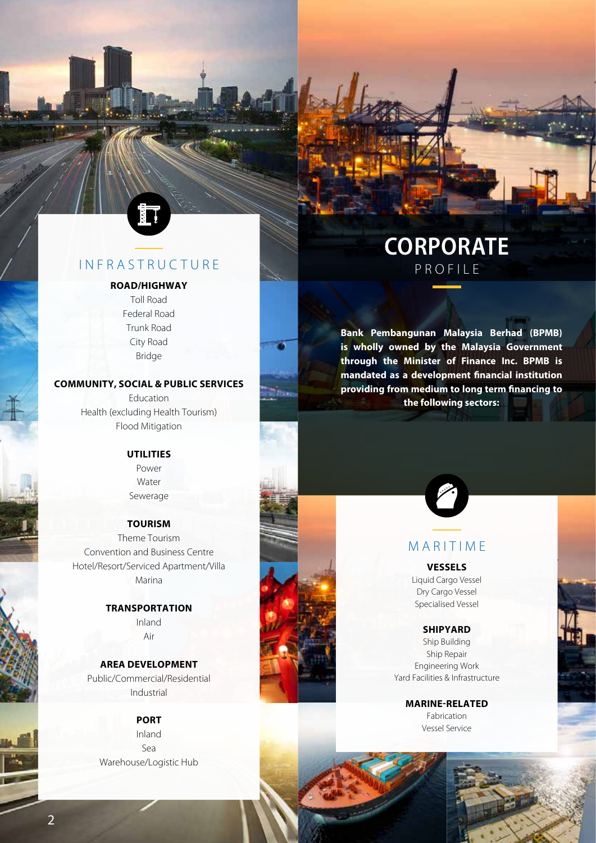

### **INFRASTRUCTURE**

#### **ROAD/HIGHWAY**

Toll Road Federal Road Trunk Road City Road Bridge

#### **COMMUNITY, SOCIAL & PUBLIC SERVICES**

**Bin** 

Education Health (excluding Health Tourism) Flood Mitigation

#### **UTILITIES**

Power Water Sewerage

#### **TOURISM**

Theme Tourism Convention and Business Centre Hotel/Resort/Serviced Apartment/Villa Marina

#### **TRANSPORTATION**

Inland Air

#### **AREA DEVELOPMENT** Public/Commercial/Residential Industrial

#### **PORT**

Inland Sea Warehouse/Logistic Hub

# **Corporate** Profile

**Bank Pembangunan Malaysia Berhad (BPMB) is wholly owned by the Malaysia Government through the Minister of Finance Inc. BPMB is mandated as a development financial institution providing from medium to long term financing to the following sectors:**



### **MARITIME**

#### **VESSELS**

Liquid Cargo Vessel Dry Cargo Vessel Specialised Vessel

#### **SHIPYARD**

Ship Building Ship Repair Engineering Work Yard Facilities & Infrastructure

> **MARINE-RELATED** Fabrication Vessel Service